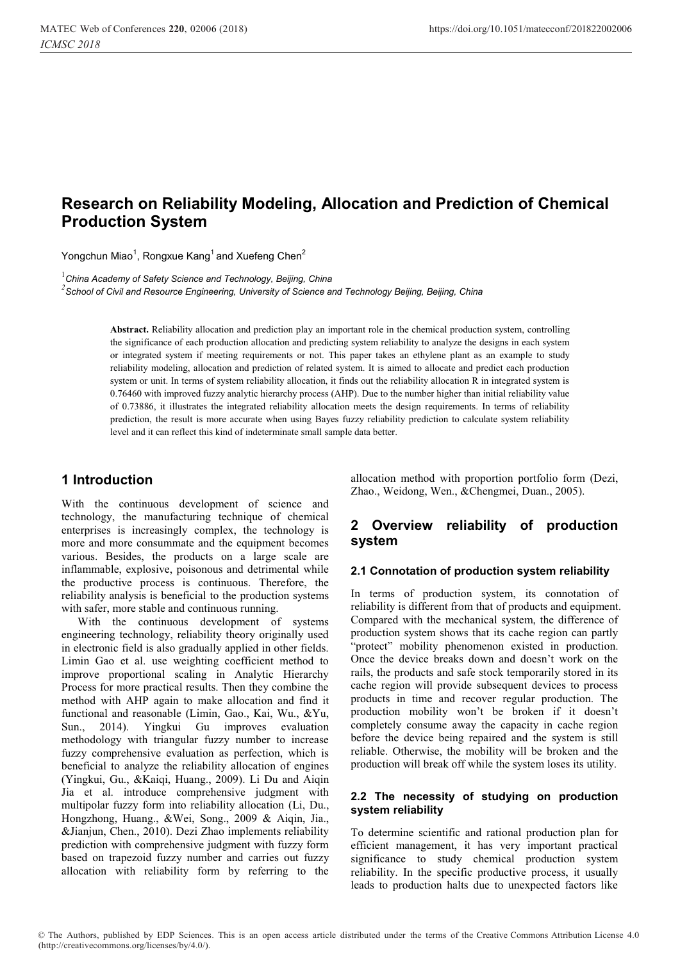# **Research on Reliability Modeling, Allocation and Prediction of Chemical Production System**

Yongchun Miao $^1$ , Rongxue Kang $^1$ and Xuefeng Chen $^2$ 

1 *China Academy of Safety Science and Technology, Beijing, China 2 School of Civil and Resource Engineering, University of Science and Technology Beijing, Beijing, China*

> **Abstract.** Reliability allocation and prediction play an important role in the chemical production system, controlling the significance of each production allocation and predicting system reliability to analyze the designs in each system or integrated system if meeting requirements or not. This paper takes an ethylene plant as an example to study reliability modeling, allocation and prediction of related system. It is aimed to allocate and predict each production system or unit. In terms of system reliability allocation, it finds out the reliability allocation R in integrated system is 0.76460 with improved fuzzy analytic hierarchy process (AHP). Due to the number higher than initial reliability value of 0.73886, it illustrates the integrated reliability allocation meets the design requirements. In terms of reliability prediction, the result is more accurate when using Bayes fuzzy reliability prediction to calculate system reliability level and it can reflect this kind of indeterminate small sample data better.

## **1 Introduction**

With the continuous development of science and technology, the manufacturing technique of chemical enterprises is increasingly complex, the technology is more and more consummate and the equipment becomes various. Besides, the products on a large scale are inflammable, explosive, poisonous and detrimental while the productive process is continuous. Therefore, the reliability analysis is beneficial to the production systems with safer, more stable and continuous running.

With the continuous development of systems engineering technology, reliability theory originally used in electronic field is also gradually applied in other fields. Limin Gao et al. use weighting coefficient method to improve proportional scaling in Analytic Hierarchy Process for more practical results. Then they combine the method with AHP again to make allocation and find it functional and reasonable (Limin, Gao., Kai, Wu., &Yu, Sun., 2014). Yingkui Gu improves evaluation methodology with triangular fuzzy number to increase fuzzy comprehensive evaluation as perfection, which is beneficial to analyze the reliability allocation of engines (Yingkui, Gu., &Kaiqi, Huang., 2009). Li Du and Aiqin Jia et al. introduce comprehensive judgment with multipolar fuzzy form into reliability allocation (Li, Du., Hongzhong, Huang., &Wei, Song., 2009 & Aiqin, Jia., &Jianjun, Chen., 2010). Dezi Zhao implements reliability prediction with comprehensive judgment with fuzzy form based on trapezoid fuzzy number and carries out fuzzy allocation with reliability form by referring to the

allocation method with proportion portfolio form (Dezi, Zhao., Weidong, Wen., &Chengmei, Duan., 2005).

## **2 Overview reliability of production system**

#### **2.1 Connotation of production system reliability**

In terms of production system, its connotation of reliability is different from that of products and equipment. Compared with the mechanical system, the difference of production system shows that its cache region can partly "protect" mobility phenomenon existed in production. Once the device breaks down and doesn't work on the rails, the products and safe stock temporarily stored in its cache region will provide subsequent devices to process products in time and recover regular production. The production mobility won't be broken if it doesn't completely consume away the capacity in cache region before the device being repaired and the system is still reliable. Otherwise, the mobility will be broken and the production will break off while the system loses its utility.

#### **2.2 The necessity of studying on production system reliability**

To determine scientific and rational production plan for efficient management, it has very important practical significance to study chemical production system reliability. In the specific productive process, it usually leads to production halts due to unexpected factors like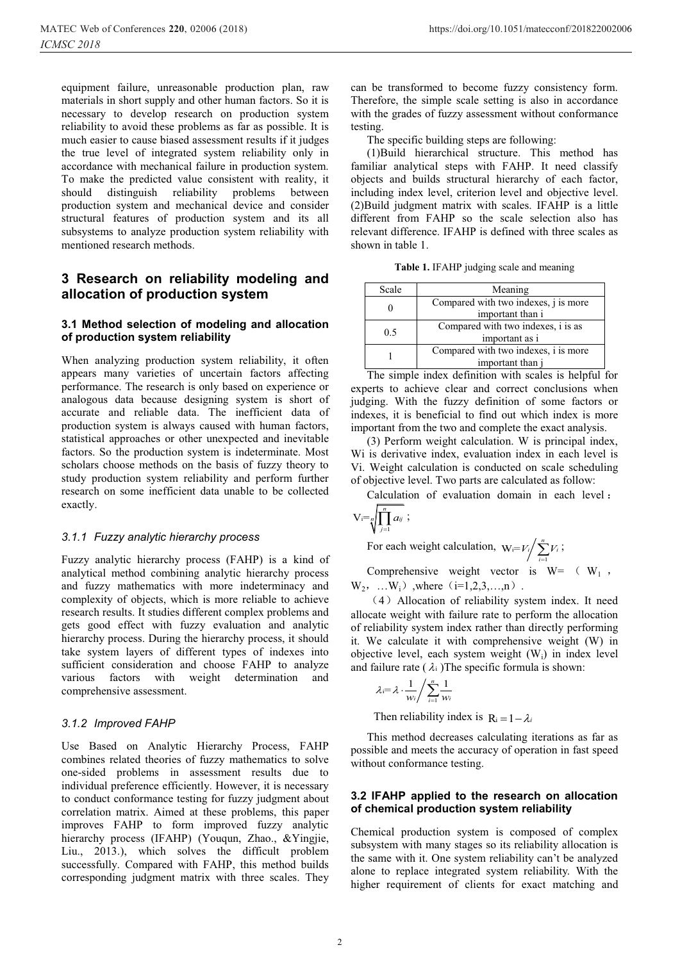equipment failure, unreasonable production plan, raw materials in short supply and other human factors. So it is necessary to develop research on production system reliability to avoid these problems as far as possible. It is much easier to cause biased assessment results if it judges the true level of integrated system reliability only in accordance with mechanical failure in production system. To make the predicted value consistent with reality, it should distinguish reliability problems between distinguish reliability problems production system and mechanical device and consider structural features of production system and its all subsystems to analyze production system reliability with mentioned research methods.

## **3 Research on reliability modeling and allocation of production system**

#### **3.1 Method selection of modeling and allocation of production system reliability**

When analyzing production system reliability, it often appears many varieties of uncertain factors affecting performance. The research is only based on experience or analogous data because designing system is short of accurate and reliable data. The inefficient data of production system is always caused with human factors, statistical approaches or other unexpected and inevitable factors. So the production system is indeterminate. Most scholars choose methods on the basis of fuzzy theory to study production system reliability and perform further research on some inefficient data unable to be collected exactly.

#### *3.1.1 Fuzzy analytic hierarchy process*

Fuzzy analytic hierarchy process (FAHP) is a kind of analytical method combining analytic hierarchy process and fuzzy mathematics with more indeterminacy and complexity of objects, which is more reliable to achieve research results. It studies different complex problems and gets good effect with fuzzy evaluation and analytic hierarchy process. During the hierarchy process, it should take system layers of different types of indexes into sufficient consideration and choose FAHP to analyze various factors with weight determination and comprehensive assessment.

#### *3.1.2 Improved FAHP*

Use Based on Analytic Hierarchy Process, FAHP combines related theories of fuzzy mathematics to solve one-sided problems in assessment results due to individual preference efficiently. However, it is necessary to conduct conformance testing for fuzzy judgment about correlation matrix. Aimed at these problems, this paper improves FAHP to form improved fuzzy analytic hierarchy process (IFAHP) (Youqun, Zhao., &Yingjie, Liu., 2013.), which solves the difficult problem successfully. Compared with FAHP, this method builds corresponding judgment matrix with three scales. They

can be transformed to become fuzzy consistency form. Therefore, the simple scale setting is also in accordance with the grades of fuzzy assessment without conformance testing.

The specific building steps are following:

(1)Build hierarchical structure. This method has familiar analytical steps with FAHP. It need classify objects and builds structural hierarchy of each factor, including index level, criterion level and objective level. (2)Build judgment matrix with scales. IFAHP is a little different from FAHP so the scale selection also has relevant difference. IFAHP is defined with three scales as shown in table 1.

**Table 1.** IFAHP judging scale and meaning

| Scale | Meaning                                                  |  |  |
|-------|----------------------------------------------------------|--|--|
|       | Compared with two indexes, j is more<br>important than i |  |  |
| 0.5   | Compared with two indexes, i is as<br>important as i     |  |  |
|       | Compared with two indexes, i is more<br>important than j |  |  |

The simple index definition with scales is helpful for experts to achieve clear and correct conclusions when judging. With the fuzzy definition of some factors or indexes, it is beneficial to find out which index is more important from the two and complete the exact analysis.

(3) Perform weight calculation. W is principal index, Wi is derivative index, evaluation index in each level is Vi. Weight calculation is conducted on scale scheduling of objective level. Two parts are calculated as follow:

Calculation of evaluation domain in each level:

$$
V = \sqrt[n]{\prod_{j=1}^n a_{ij}};
$$

For each weight calculation,  $W_i$  $W_i = V_i / \sum_{i=1}^n$ *i* / *i*  $V_i / \sum_{i=1}^n V_i$ ;

Comprehensive weight vector is  $W= (W_1, \dots, W_n)$  $W_2, ... W_i)$ , where  $(i=1,2,3,...,n)$ .

(4) Allocation of reliability system index. It need allocate weight with failure rate to perform the allocation of reliability system index rather than directly performing it. We calculate it with comprehensive weight (W) in objective level, each system weight (Wi) in index level and failure rate ( $\lambda$ i)The specific formula is shown:

$$
\lambda_i = \lambda \cdot \frac{1}{w_i} / \sum_{i=1}^n \frac{1}{w_i}
$$

Then reliability index is  $R_i = 1 - \lambda_i$ 

This method decreases calculating iterations as far as possible and meets the accuracy of operation in fast speed without conformance testing.

#### **3.2 IFAHP applied to the research on allocation of chemical production system reliability**

Chemical production system is composed of complex subsystem with many stages so its reliability allocation is the same with it. One system reliability can't be analyzed alone to replace integrated system reliability. With the higher requirement of clients for exact matching and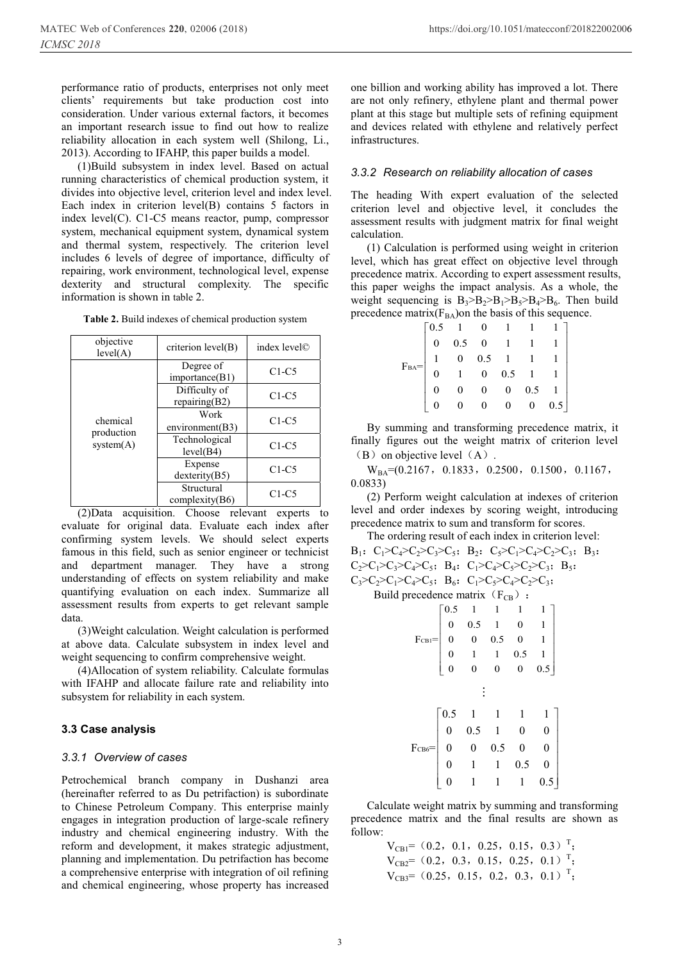performance ratio of products, enterprises not only meet clients' requirements but take production cost into consideration. Under various external factors, it becomes an important research issue to find out how to realize reliability allocation in each system well (Shilong, Li., 2013). According to IFAHP, this paper builds a model.

(1)Build subsystem in index level. Based on actual running characteristics of chemical production system, it divides into objective level, criterion level and index level. Each index in criterion level(B) contains 5 factors in index level(C). C1-C5 means reactor, pump, compressor system, mechanical equipment system, dynamical system and thermal system, respectively. The criterion level includes 6 levels of degree of importance, difficulty of repairing, work environment, technological level, expense dexterity and structural complexity. The specific information is shown in table 2.

|  | Table 2. Build indexes of chemical production system |
|--|------------------------------------------------------|
|  |                                                      |

| objective<br>level(A)  | criterion level(B)             | index level© |
|------------------------|--------------------------------|--------------|
|                        | Degree of<br>importance(B1)    | $C1-C5$      |
|                        | Difficulty of<br>repairing(B2) | $C1-C5$      |
| chemical<br>production | Work<br>environment(B3)        | $C1-C5$      |
| system(A)              | Technological<br>level(B4)     | $C1-C5$      |
|                        | Expense<br>$d$ exterity $(B5)$ | $C1-C5$      |
|                        | Structural<br>complexity(B6)   | $C1-C5$      |

(2)Data acquisition. Choose relevant experts to evaluate for original data. Evaluate each index after confirming system levels. We should select experts famous in this field, such as senior engineer or technicist and department manager. They have a strong understanding of effects on system reliability and make quantifying evaluation on each index. Summarize all assessment results from experts to get relevant sample data.

(3)Weight calculation. Weight calculation is performed at above data. Calculate subsystem in index level and weight sequencing to confirm comprehensive weight.

(4)Allocation of system reliability. Calculate formulas with IFAHP and allocate failure rate and reliability into subsystem for reliability in each system.

#### **3.3 Case analysis**

#### *3.3.1 Overview of cases*

Petrochemical branch company in Dushanzi area (hereinafter referred to as Du petrifaction) is subordinate to Chinese Petroleum Company. This enterprise mainly engages in integration production of large-scale refinery industry and chemical engineering industry. With the reform and development, it makes strategic adjustment, planning and implementation. Du petrifaction has become a comprehensive enterprise with integration of oil refining and chemical engineering, whose property has increased

one billion and working ability has improved a lot. There are not only refinery, ethylene plant and thermal power plant at this stage but multiple sets of refining equipment and devices related with ethylene and relatively perfect infrastructures.

#### *3.3.2 Research on reliability allocation of cases*

The heading With expert evaluation of the selected criterion level and objective level, it concludes the assessment results with judgment matrix for final weight calculation.

(1) Calculation is performed using weight in criterion level, which has great effect on objective level through precedence matrix. According to expert assessment results, this paper weighs the impact analysis. As a whole, the weight sequencing is  $B_3 > B_2 > B_1 > B_5 > B_4 > B_6$ . Then build precedence matrix( $F<sub>BA</sub>$ ) on the basis of this sequence.

| ${\rm F_{BA}}{\rm{ = }}\left[ \begin{array}{rrrrrrrr} 0.5 & 1 & 0 & 1 & 1 & 1 \\ 0 & 0.5 & 0 & 1 & 1 & 1 \\ 1 & 0 & 0.5 & 1 & 1 & 1 \\ 0 & 1 & 0 & 0.5 & 1 & 1 \\ 0 & 0 & 0 & 0 & 0.5 & 1 \\ 0 & 0 & 0 & 0 & 0 & 0.5 \end{array} \right]$ |  |  |  |
|-------------------------------------------------------------------------------------------------------------------------------------------------------------------------------------------------------------------------------------------|--|--|--|
|                                                                                                                                                                                                                                           |  |  |  |
|                                                                                                                                                                                                                                           |  |  |  |
|                                                                                                                                                                                                                                           |  |  |  |

By summing and transforming precedence matrix, it finally figures out the weight matrix of criterion level  $(B)$  on objective level  $(A)$ .

 $W_{BA}=(0.2167, 0.1833, 0.2500, 0.1500, 0.1167,$ 0.0833)

(2) Perform weight calculation at indexes of criterion level and order indexes by scoring weight, introducing precedence matrix to sum and transform for scores.

The ordering result of each index in criterion level:  $B_1$ :  $C_1>C_4>C_2>C_3>C_5$ ;  $B_2$ :  $C_5>C_1>C_4>C_4>C_2C_3$ ;  $B_3$ ;  $C_2>C_1>C_3>C_4>C_5$ ;  $B_4$ :  $C_1>C_4>C_5>C_2>C_2+C_3$ ;  $B_5$ ;  $C_3 > C_2 > C_1 > C_4 > C_5$ ;  $B_6$ :  $C_1 > C_5 > C_4 > C_2 > C_3$ ;

Build precedence matrix  $(F_{CR})$ :

|          | 0.5              | 1              | 1        | 1              | 1              |  |
|----------|------------------|----------------|----------|----------------|----------------|--|
|          | $\mathbf{0}$     | 0.5            | 1        | $\overline{0}$ | 1              |  |
| $FCB1 =$ | $\boldsymbol{0}$ | $\overline{0}$ | 0.5      | $\overline{0}$ | 1              |  |
|          | $\boldsymbol{0}$ | 1              | 1        | 0.5            | 1              |  |
|          | $\bf{0}$         | $\bf{0}$       | $\bf{0}$ | $\bf{0}$       | 0.5            |  |
|          |                  |                |          |                |                |  |
|          | 0.5              | 1              | 1        | 1              | 1              |  |
|          | 0                | 0.5            | 1        | $\pmb{0}$      | 0              |  |
| $FCB6=$  | 0                | 0              | 0.5      | $\pmb{0}$      | $\overline{0}$ |  |
|          | $\overline{0}$   | 1              | 1        | 0.5            | $\pmb{0}$      |  |
|          | 0                | 1              | 1        | 1              | 0.5            |  |

Calculate weight matrix by summing and transforming precedence matrix and the final results are shown as follow:

> $V_{CB1}$  = (0.2, 0.1, 0.25, 0.15, 0.3) <sup>T</sup>;  $V_{CB2}=(0.2, 0.3, 0.15, 0.25, 0.1)$ <sup>T</sup>;  $V_{CB3}=(0.25, 0.15, 0.2, 0.3, 0.1)$ <sup>T</sup>;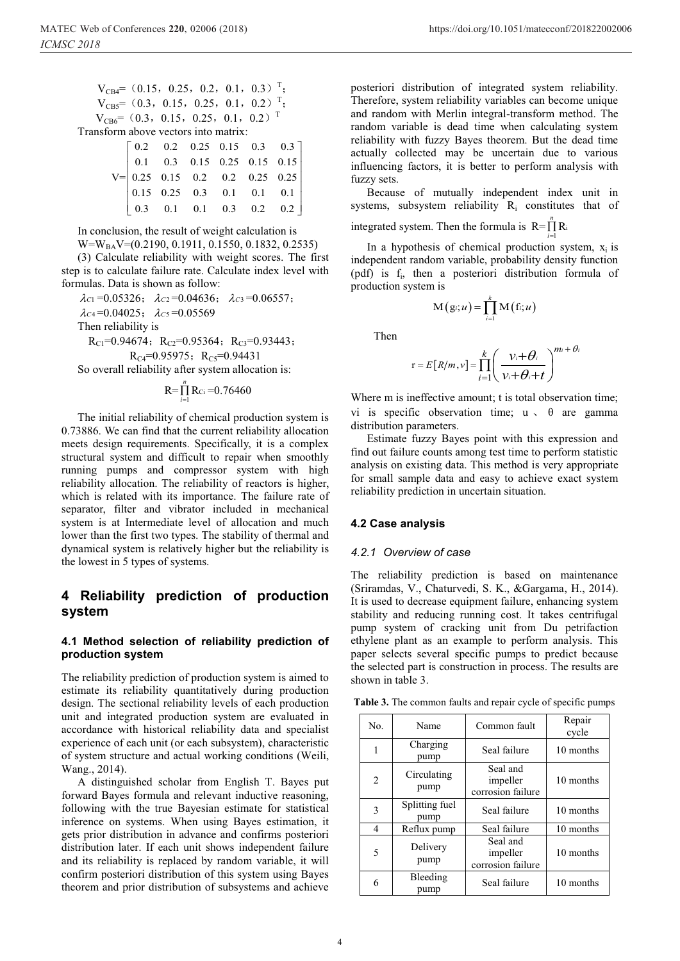1

 $V_{CB4}=(0.15, 0.25, 0.2, 0.1, 0.3)$ <sup>T</sup>;  $V_{CB5}=(0.3, 0.15, 0.25, 0.1, 0.2)$ <sup>T</sup>;  $V_{CB6}$ = (0.3, 0.15, 0.25, 0.1, 0.2)<sup>T</sup> Transform above vectors into matrix:  $\begin{bmatrix} 0.2 & 0.2 & 0.25 & 0.15 & 0.3 & 0.3 \end{bmatrix}$  $\mathbf{I}$ 

|  |  | $V = \begin{bmatrix} 0.1 & 0.3 & 0.15 & 0.25 & 0.15 & 0.15 \\ 0.25 & 0.15 & 0.2 & 0.2 & 0.25 & 0.25 \\ 0.15 & 0.25 & 0.3 & 0.1 & 0.1 & 0.1 \\ 0.3 & 0.1 & 0.1 & 0.3 & 0.2 & 0.2 \end{bmatrix}$ |  |
|--|--|------------------------------------------------------------------------------------------------------------------------------------------------------------------------------------------------|--|
|  |  |                                                                                                                                                                                                |  |
|  |  |                                                                                                                                                                                                |  |
|  |  |                                                                                                                                                                                                |  |

In conclusion, the result of weight calculation is

W=W<sub>BA</sub>V=(0.2190, 0.1911, 0.1550, 0.1832, 0.2535)

(3) Calculate reliability with weight scores. The first step is to calculate failure rate. Calculate index level with formulas. Data is shown as follow:

 $\lambda_{C1} = 0.05326; \quad \lambda_{C2} = 0.04636; \quad \lambda_{C3} = 0.06557;$  $\lambda_{C4} = 0.04025$ ;  $\lambda_{C5} = 0.05569$ 

Then reliability is

 $R_{C1}$ =0.94674;  $R_{C2}$ =0.95364;  $R_{C3}$ =0.93443;  $R_{C4}=0.95975$ ;  $R_{C5}=0.94431$ 

So overall reliability after system allocation is:

$$
R = \prod_{i=1}^{n} R_{Ci} = 0.76460
$$

The initial reliability of chemical production system is 0.73886. We can find that the current reliability allocation meets design requirements. Specifically, it is a complex structural system and difficult to repair when smoothly running pumps and compressor system with high reliability allocation. The reliability of reactors is higher, which is related with its importance. The failure rate of separator, filter and vibrator included in mechanical system is at Intermediate level of allocation and much lower than the first two types. The stability of thermal and dynamical system is relatively higher but the reliability is the lowest in 5 types of systems.

## **4 Reliability prediction of production system**

#### **4.1 Method selection of reliability prediction of production system**

The reliability prediction of production system is aimed to estimate its reliability quantitatively during production design. The sectional reliability levels of each production unit and integrated production system are evaluated in accordance with historical reliability data and specialist experience of each unit (or each subsystem), characteristic of system structure and actual working conditions (Weili, Wang., 2014).

A distinguished scholar from English T. Bayes put forward Bayes formula and relevant inductive reasoning, following with the true Bayesian estimate for statistical inference on systems. When using Bayes estimation, it gets prior distribution in advance and confirms posteriori distribution later. If each unit shows independent failure and its reliability is replaced by random variable, it will confirm posteriori distribution of this system using Bayes theorem and prior distribution of subsystems and achieve

posteriori distribution of integrated system reliability. Therefore, system reliability variables can become unique and random with Merlin integral-transform method. The random variable is dead time when calculating system reliability with fuzzy Bayes theorem. But the dead time actually collected may be uncertain due to various influencing factors, it is better to perform analysis with fuzzy sets.

Because of mutually independent index unit in systems, subsystem reliability  $R_i$  constitutes that of

integrated system. Then the formula is  $R = \prod_{i=1}^{n} R_i$ *i*-

In a hypothesis of chemical production system,  $x_i$  is independent random variable, probability density function (pdf) is fi, then a posteriori distribution formula of production system is

$$
M(g_i; u) = \prod_{i=1}^k M(f_i; u)
$$

Then

$$
r = E[R/m, v] = \prod_{i=1}^{k} \left( \frac{v_i + \theta_i}{v_i + \theta_i + t} \right)^{m_i + \theta_i}
$$

Where m is ineffective amount; t is total observation time; vi is specific observation time;  $u \text{ }\rightarrow \text{ }\theta$  are gamma distribution parameters.

Estimate fuzzy Bayes point with this expression and find out failure counts among test time to perform statistic analysis on existing data. This method is very appropriate for small sample data and easy to achieve exact system reliability prediction in uncertain situation.

#### **4.2 Case analysis**

#### *4.2.1 Overview of case*

The reliability prediction is based on maintenance (Sriramdas, V., Chaturvedi, S. K., &Gargama, H., 2014). It is used to decrease equipment failure, enhancing system stability and reducing running cost. It takes centrifugal pump system of cracking unit from Du petrifaction ethylene plant as an example to perform analysis. This paper selects several specific pumps to predict because the selected part is construction in process. The results are shown in table 3.

**Table 3.** The common faults and repair cycle of specific pumps

| No. | Name                   | Common fault                              | Repair<br>cycle |
|-----|------------------------|-------------------------------------------|-----------------|
| 1   | Charging<br>pump       | Seal failure                              | 10 months       |
| 2   | Circulating<br>pump    | Seal and<br>impeller<br>corrosion failure | 10 months       |
| 3   | Splitting fuel<br>pump | Seal failure                              | 10 months       |
| 4   | Reflux pump            | Seal failure                              | 10 months       |
| 5   | Delivery<br>pump       | Seal and<br>impeller<br>corrosion failure | 10 months       |
| 6   | Bleeding<br>pump       | Seal failure                              | 10 months       |